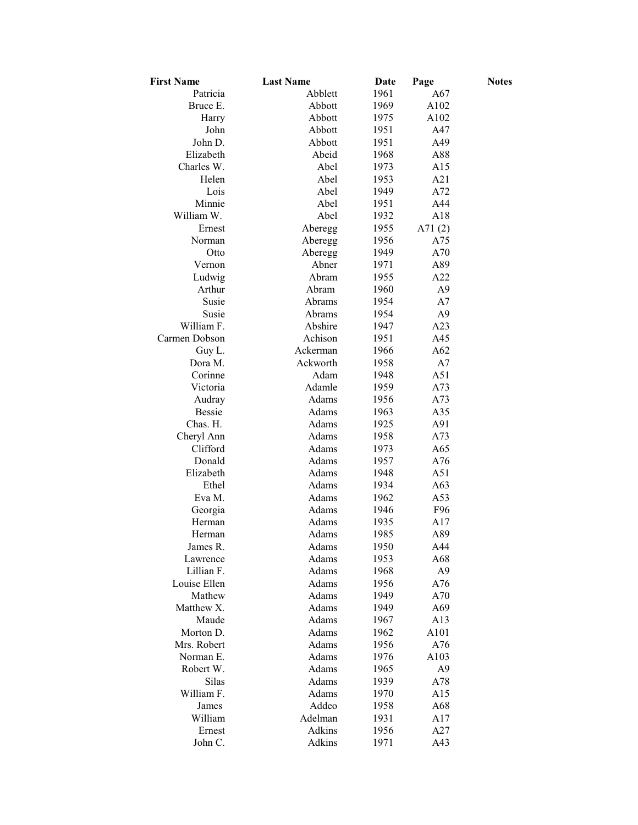| <b>First Name</b>    | <b>Last Name</b> | Date         | Page           | <b>Notes</b> |
|----------------------|------------------|--------------|----------------|--------------|
| Patricia             | Abblett          | 1961         | A67            |              |
| Bruce E.             | Abbott           | 1969         | A102           |              |
| Harry                | Abbott           | 1975         | A102           |              |
| John                 | Abbott           | 1951         | A47            |              |
| John D.              | Abbott           | 1951         | A49            |              |
| Elizabeth            | Abeid            | 1968         | A88            |              |
| Charles W.           | Abel             | 1973         | A15            |              |
| Helen                | Abel             | 1953         | A21            |              |
| Lois                 | Abel             | 1949         | A72            |              |
| Minnie               | Abel             | 1951         | A44            |              |
| William W.           | Abel             | 1932         | A18            |              |
| Ernest               | Aberegg          | 1955         | A71 $(2)$      |              |
| Norman               | Aberegg          | 1956         | A75            |              |
| Otto                 | Aberegg          | 1949         | A70            |              |
| Vernon               | Abner            | 1971         | A89            |              |
| Ludwig               | Abram            | 1955         | A22            |              |
| Arthur               | Abram            | 1960         | A9             |              |
| Susie                | Abrams           | 1954         | A7             |              |
| Susie                | Abrams           | 1954         | A9             |              |
| William F.           | Abshire          | 1947         | A23            |              |
| Carmen Dobson        | Achison          | 1951         | A45            |              |
| Guy L.               | Ackerman         | 1966         | A62            |              |
| Dora M.              | Ackworth         | 1958         | A7             |              |
| Corinne              | Adam             | 1948         | A51            |              |
| Victoria             | Adamle           | 1959         | A73            |              |
| Audray               | Adams            | 1956         | A73            |              |
| <b>Bessie</b>        | Adams            | 1963         | A35            |              |
| Chas. H.             | Adams            | 1925         | A91            |              |
| Cheryl Ann           | Adams            | 1958         | A73            |              |
| Clifford             | Adams            | 1973         | A65            |              |
| Donald               | Adams            | 1957         | A76            |              |
| Elizabeth            | Adams            | 1948         | A51            |              |
| Ethel                | Adams            | 1934         | A63            |              |
| Eva M.               | Adams            | 1962         | A53            |              |
| Georgia              | Adams            | 1946         | F96            |              |
| Herman               | Adams            | 1935         | A17            |              |
| Herman               | Adams            | 1985         | A89            |              |
| James R.             | Adams            | 1950         | A44            |              |
| Lawrence             | Adams            | 1953         | A68            |              |
| Lillian F.           | Adams            | 1968         | A <sub>9</sub> |              |
| Louise Ellen         | Adams            | 1956         | A76            |              |
| Mathew<br>Matthew X. | Adams            | 1949         | A70            |              |
| Maude                | Adams<br>Adams   | 1949<br>1967 | A69<br>A13     |              |
| Morton D.            | Adams            | 1962         | A101           |              |
| Mrs. Robert          | Adams            | 1956         | A76            |              |
| Norman E.            | Adams            | 1976         | A103           |              |
| Robert W.            | Adams            | 1965         | A9             |              |
| Silas                | Adams            | 1939         | A78            |              |
| William F.           | Adams            | 1970         | A15            |              |
| James                | Addeo            | 1958         | A68            |              |
| William              | Adelman          | 1931         | A17            |              |
| Ernest               | Adkins           | 1956         | A27            |              |
| John C.              | Adkins           | 1971         | A43            |              |
|                      |                  |              |                |              |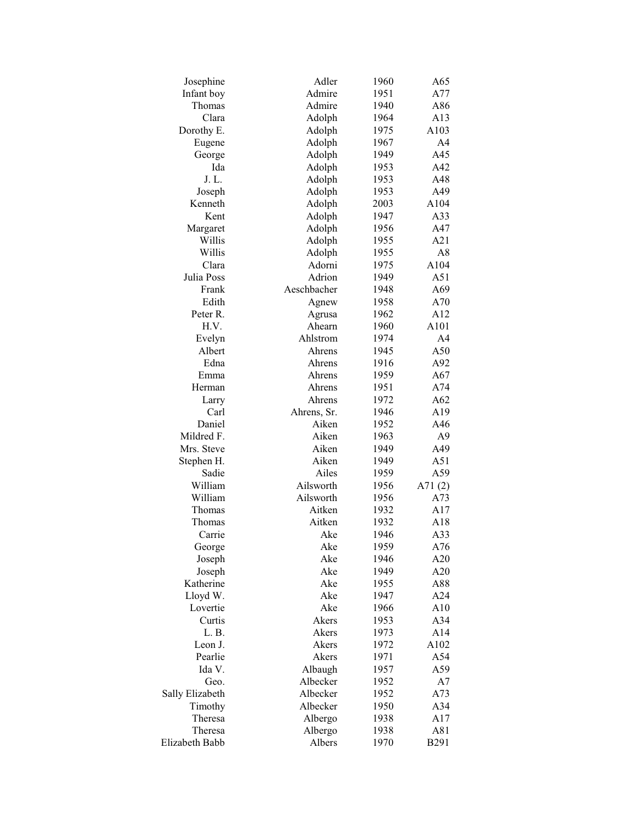| Josephine       | Adler            | 1960 | A65            |
|-----------------|------------------|------|----------------|
| Infant boy      | Admire           | 1951 | A77            |
| Thomas          | Admire           | 1940 | A86            |
| Clara           | Adolph           | 1964 | A13            |
| Dorothy E.      | Adolph           | 1975 | A103           |
| Eugene          | Adolph           | 1967 | A4             |
| George          | Adolph           | 1949 | A45            |
| Ida             | Adolph           | 1953 | A42            |
| J. L.           | Adolph           | 1953 | A48            |
| Joseph          | Adolph           | 1953 | A49            |
| Kenneth         | Adolph           | 2003 | A104           |
| Kent            | Adolph           | 1947 | A33            |
| Margaret        | Adolph           | 1956 | A47            |
| Willis          | Adolph           | 1955 | A21            |
| Willis          | Adolph           | 1955 | A8             |
| Clara           | Adorni           | 1975 | A104           |
| Julia Poss      | Adrion           | 1949 | A51            |
| Frank           | Aeschbacher      | 1948 | A69            |
| Edith           | Agnew            | 1958 | A70            |
| Peter R.        |                  | 1962 | A12            |
|                 | Agrusa<br>Ahearn |      |                |
| H.V.            |                  | 1960 | A101           |
| Evelyn          | Ahlstrom         | 1974 | A <sub>4</sub> |
| Albert          | Ahrens           | 1945 | A50            |
| Edna            | Ahrens           | 1916 | A92            |
| Emma            | Ahrens           | 1959 | A67            |
| Herman          | Ahrens           | 1951 | A74            |
| Larry           | Ahrens           | 1972 | A62            |
| Carl            | Ahrens, Sr.      | 1946 | A19            |
| Daniel          | Aiken            | 1952 | A46            |
| Mildred F.      | Aiken            | 1963 | A <sub>9</sub> |
| Mrs. Steve      | Aiken            | 1949 | A49            |
| Stephen H.      | Aiken            | 1949 | A51            |
| Sadie           | Ailes            | 1959 | A59            |
| William         | Ailsworth        | 1956 | A71 $(2)$      |
| William         | Ailsworth        | 1956 | A73            |
| Thomas          | Aitken           | 1932 | A17            |
| Thomas          | Aitken           | 1932 | A18            |
| Carrie          | Ake              | 1946 | A33            |
| George          | Ake              | 1959 | A76            |
| Joseph          | Ake              | 1946 | A20            |
| Joseph          | Ake              | 1949 | A20            |
| Katherine       | Ake              | 1955 | A88            |
| Lloyd W.        | Ake              | 1947 | A24            |
| Lovertie        | Ake              | 1966 | A10            |
| Curtis          | Akers            | 1953 | A34            |
| L.B.            | Akers            | 1973 | A14            |
| Leon J.         | Akers            | 1972 | A102           |
| Pearlie         | Akers            | 1971 | A54            |
| Ida V.          | Albaugh          | 1957 | A59            |
|                 | Albecker         |      |                |
| Geo.            |                  | 1952 | A7             |
| Sally Elizabeth | Albecker         | 1952 | A73            |
| Timothy         | Albecker         | 1950 | A34            |
| Theresa         | Albergo          | 1938 | A17            |
| Theresa         | Albergo          | 1938 | A81            |
| Elizabeth Babb  | Albers           | 1970 | <b>B291</b>    |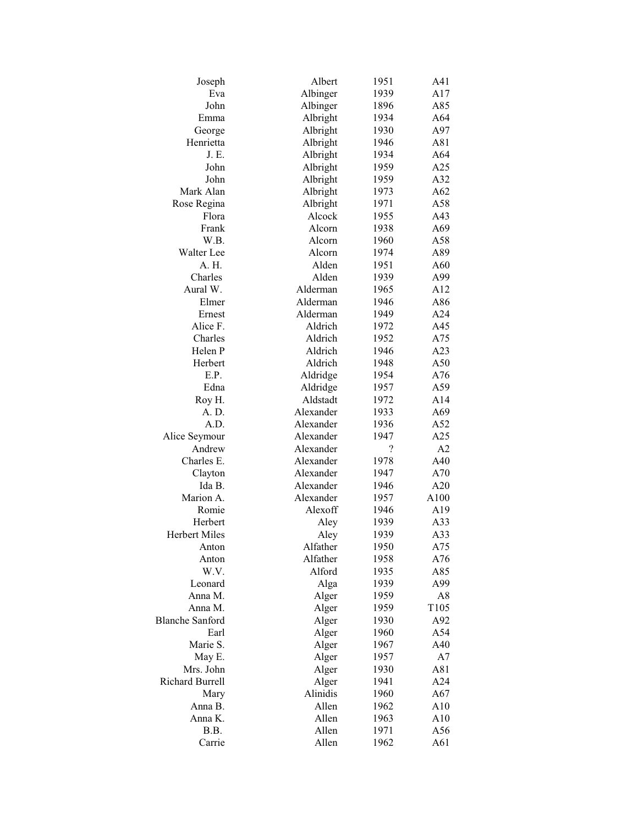| Joseph                 | Albert            | 1951       | A41              |
|------------------------|-------------------|------------|------------------|
| Eva                    | Albinger          | 1939       | A17              |
| John                   |                   |            |                  |
|                        | Albinger          | 1896       | A85              |
| Emma                   | Albright          | 1934       | A64              |
| George                 | Albright          | 1930       | A97              |
| Henrietta              | Albright          | 1946       | A81              |
| J. E.                  | Albright          | 1934       | A64              |
| John                   | Albright          | 1959       | A25              |
| John                   | Albright          | 1959       | A32              |
| Mark Alan              | Albright          | 1973       | A62              |
| Rose Regina            | Albright          | 1971       | A58              |
| Flora                  | Alcock            | 1955       | A43              |
| Frank                  | Alcorn            | 1938       | A69              |
| W.B.                   | Alcorn            | 1960       | A58              |
| Walter Lee             | Alcorn            | 1974       | A89              |
| A. H.                  | Alden             | 1951       | A60              |
| Charles                | Alden             | 1939       | A99              |
| Aural W.               | Alderman          | 1965       | A12              |
| Elmer                  | Alderman          | 1946       | A86              |
| Ernest                 | Alderman          | 1949       | A24              |
| Alice F.               | Aldrich           | 1972       | A45              |
| Charles                | Aldrich           | 1952       | A75              |
| Helen P                | Aldrich           | 1946       | A23              |
| Herbert                | Aldrich           | 1948       | A50              |
| E.P.                   | Aldridge          | 1954       | A76              |
| Edna                   |                   |            |                  |
|                        | Aldridge          | 1957       | A59              |
| Roy H.                 | Aldstadt          | 1972       | A14              |
| A. D.                  | Alexander         | 1933       | A69              |
| A.D.                   | Alexander         | 1936       | A52              |
| Alice Seymour          | Alexander         | 1947       | A25              |
| Andrew                 | Alexander         | $\ddot{?}$ | A2               |
| Charles E.             | Alexander         | 1978       | A40              |
| Clayton                | Alexander         | 1947       | A70              |
| Ida B.                 | Alexander         | 1946       | A20              |
| Marion A.              | Alexander         | 1957       | A100             |
| Romie                  | Alexoff           | 1946       | A19              |
| Herbert                | Aley              | 1939       | A33              |
| <b>Herbert Miles</b>   | Aley              | 1939       | A33              |
| Anton                  | Alfather          | 1950       | A75              |
| Anton                  | Alfather          | 1958       | A76              |
| W.V.                   | Alford            | 1935       | A85              |
| Leonard                | Alga              | 1939       | A99              |
| Anna M.                | Alger             | 1959       | A8               |
| Anna M.                | Alger             | 1959       | T <sub>105</sub> |
| <b>Blanche Sanford</b> | Alger             | 1930       | A92              |
| Earl                   | Alger             | 1960       | A54              |
| Marie S.               | Alger             | 1967       | A40              |
| May E.                 | Alger             | 1957       | A7               |
| Mrs. John              | Alger             | 1930       | A81              |
| <b>Richard Burrell</b> |                   | 1941       | A24              |
|                        | Alger<br>Alinidis |            |                  |
| Mary                   |                   | 1960       | A67              |
| Anna B.                | Allen             | 1962       | A10              |
| Anna K.                | Allen             | 1963       | A10              |
| B.B.                   | Allen             | 1971       | A56              |
| Carrie                 | Allen             | 1962       | A61              |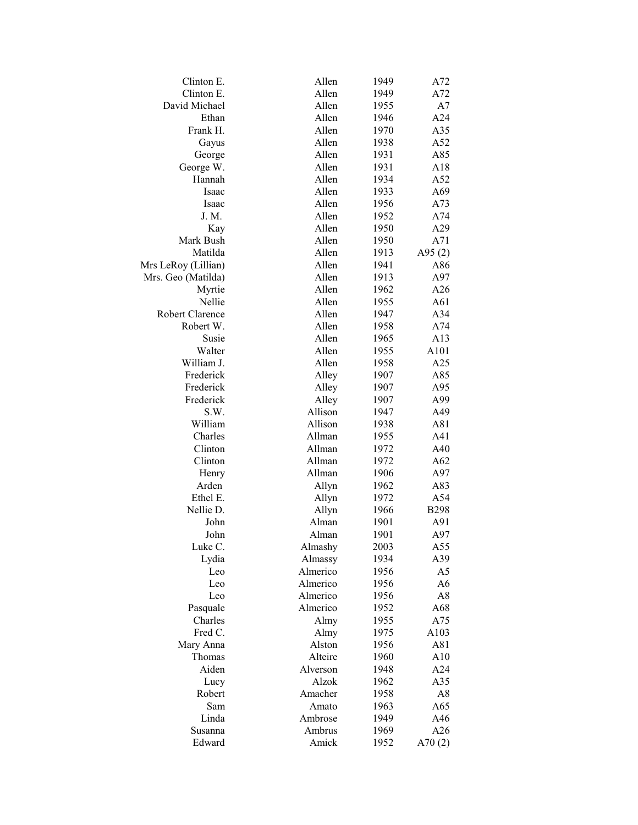| Clinton E.          | Allen    | 1949 | A72            |
|---------------------|----------|------|----------------|
| Clinton E.          | Allen    | 1949 | A72            |
| David Michael       | Allen    | 1955 | A7             |
| Ethan               | Allen    | 1946 | A24            |
| Frank H.            | Allen    | 1970 | A35            |
| Gayus               | Allen    | 1938 | A52            |
| George              | Allen    | 1931 | A85            |
| George W.           | Allen    | 1931 | A18            |
| Hannah              | Allen    | 1934 | A52            |
| Isaac               | Allen    | 1933 | A69            |
| Isaac               | Allen    | 1956 | A73            |
| J. M.               | Allen    | 1952 | A74            |
| Kay                 | Allen    | 1950 | A29            |
| Mark Bush           | Allen    | 1950 | A71            |
| Matilda             | Allen    | 1913 | A95 $(2)$      |
| Mrs LeRoy (Lillian) | Allen    | 1941 | A86            |
| Mrs. Geo (Matilda)  | Allen    | 1913 | A97            |
| Myrtie              | Allen    | 1962 | A26            |
| Nellie              | Allen    | 1955 | A61            |
| Robert Clarence     | Allen    | 1947 | A34            |
| Robert W.           | Allen    | 1958 | A74            |
| Susie               | Allen    | 1965 | A13            |
| Walter              | Allen    | 1955 | A101           |
| William J.          | Allen    | 1958 | A25            |
| Frederick           | Alley    | 1907 | A85            |
| Frederick           |          |      | A95            |
| Frederick           | Alley    | 1907 |                |
|                     | Alley    | 1907 | A99            |
| S.W.                | Allison  | 1947 | A49            |
| William             | Allison  | 1938 | A81            |
| Charles             | Allman   | 1955 | A41            |
| Clinton             | Allman   | 1972 | A40            |
| Clinton             | Allman   | 1972 | A62            |
| Henry               | Allman   | 1906 | A97            |
| Arden               | Allyn    | 1962 | A83            |
| Ethel E.            | Allyn    | 1972 | A54            |
| Nellie D.           | Allyn    | 1966 | <b>B298</b>    |
| John                | Alman    | 1901 | A91            |
| John                | Alman    | 1901 | A97            |
| Luke C.             | Almashy  | 2003 | A55            |
| Lydia               | Almassy  | 1934 | A39            |
| Leo                 | Almerico | 1956 | A5             |
| Leo                 | Almerico | 1956 | A <sub>6</sub> |
| Leo                 | Almerico | 1956 | A8             |
| Pasquale            | Almerico | 1952 | A68            |
| Charles             | Almy     | 1955 | A75            |
| Fred C.             | Almy     | 1975 | A103           |
| Mary Anna           | Alston   | 1956 | A81            |
| Thomas              | Alteire  | 1960 | A10            |
| Aiden               | Alverson | 1948 | A24            |
| Lucy                | Alzok    | 1962 | A35            |
| Robert              | Amacher  | 1958 | A8             |
| Sam                 | Amato    | 1963 | A65            |
| Linda               | Ambrose  | 1949 | A46            |
| Susanna             | Ambrus   | 1969 | A26            |
| Edward              | Amick    | 1952 | A70 $(2)$      |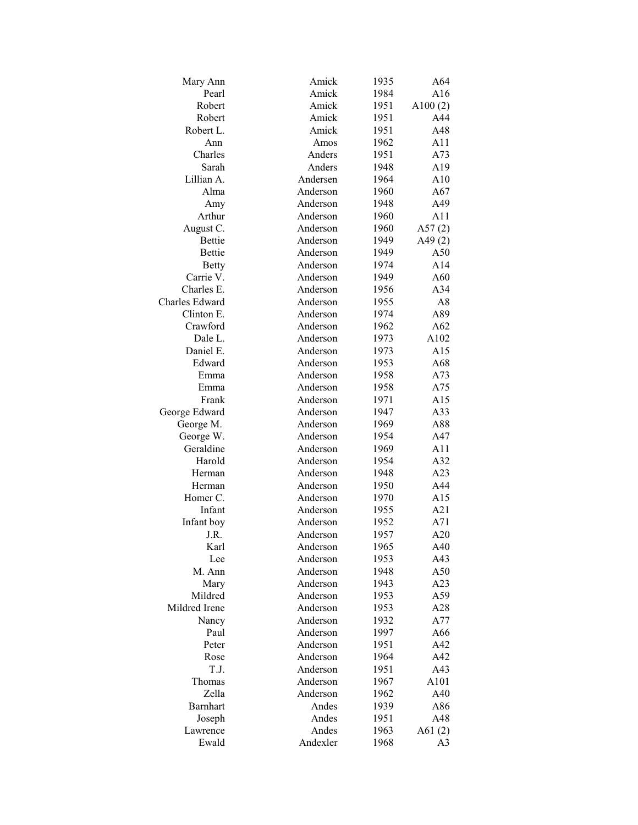| Mary Ann        | Amick    | 1935 | A64        |
|-----------------|----------|------|------------|
| Pearl           | Amick    | 1984 | A16        |
| Robert          | Amick    | 1951 | A $100(2)$ |
| Robert          | Amick    | 1951 | A44        |
| Robert L.       | Amick    | 1951 | A48        |
| Ann             | Amos     | 1962 | A11        |
| Charles         | Anders   | 1951 | A73        |
| Sarah           | Anders   | 1948 | A19        |
| Lillian A.      | Andersen | 1964 | A10        |
| Alma            | Anderson | 1960 | A67        |
| Amy             | Anderson | 1948 | A49        |
| Arthur          | Anderson | 1960 | A11        |
| August C.       | Anderson | 1960 | A57 $(2)$  |
| <b>Bettie</b>   | Anderson | 1949 | A49 $(2)$  |
| <b>Bettie</b>   | Anderson | 1949 | A50        |
|                 | Anderson | 1974 | A14        |
| <b>Betty</b>    |          |      |            |
| Carrie V.       | Anderson | 1949 | A60        |
| Charles E.      | Anderson | 1956 | A34        |
| Charles Edward  | Anderson | 1955 | A8         |
| Clinton E.      | Anderson | 1974 | A89        |
| Crawford        | Anderson | 1962 | A62        |
| Dale L.         | Anderson | 1973 | A102       |
| Daniel E.       | Anderson | 1973 | A15        |
| Edward          | Anderson | 1953 | A68        |
| Emma            | Anderson | 1958 | A73        |
| Emma            | Anderson | 1958 | A75        |
| Frank           | Anderson | 1971 | A15        |
| George Edward   | Anderson | 1947 | A33        |
| George M.       | Anderson | 1969 | A88        |
| George W.       | Anderson | 1954 | A47        |
| Geraldine       | Anderson | 1969 | A11        |
| Harold          | Anderson | 1954 | A32        |
| Herman          | Anderson | 1948 | A23        |
| Herman          | Anderson | 1950 | A44        |
| Homer C.        | Anderson | 1970 | A15        |
| Infant          | Anderson | 1955 | A21        |
| Infant boy      | Anderson | 1952 | A71        |
| J.R.            | Anderson | 1957 | A20        |
| Karl            | Anderson | 1965 | A40        |
| Lee             | Anderson | 1953 | A43        |
| M. Ann          | Anderson | 1948 | A50        |
| Mary            | Anderson | 1943 | A23        |
| Mildred         | Anderson | 1953 | A59        |
| Mildred Irene   | Anderson | 1953 | A28        |
| Nancy           | Anderson | 1932 | A77        |
| Paul            | Anderson | 1997 | A66        |
| Peter           | Anderson | 1951 | A42        |
| Rose            | Anderson | 1964 | A42        |
| T.J.            | Anderson | 1951 | A43        |
| Thomas          | Anderson | 1967 | A101       |
| Zella           | Anderson | 1962 | A40        |
| <b>Barnhart</b> |          |      |            |
|                 | Andes    | 1939 | A86        |
| Joseph          | Andes    | 1951 | A48        |
| Lawrence        | Andes    | 1963 | A61 $(2)$  |
| Ewald           | Andexler | 1968 | A3         |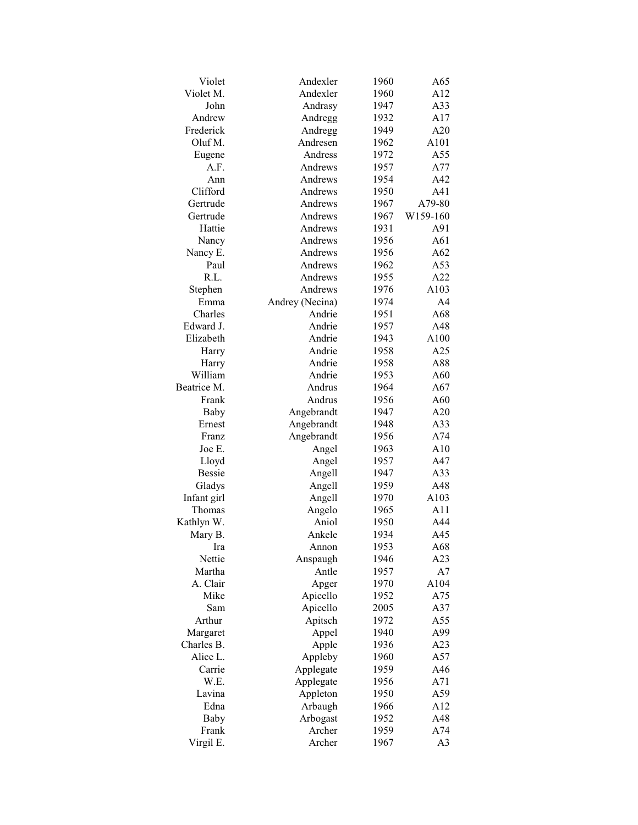| Violet        | Andexler        | 1960 | A65            |
|---------------|-----------------|------|----------------|
| Violet M.     | Andexler        | 1960 | A12            |
| John          | Andrasy         | 1947 | A33            |
| Andrew        | Andregg         | 1932 | A17            |
| Frederick     | Andregg         | 1949 | A20            |
| Oluf M.       | Andresen        | 1962 | A101           |
| Eugene        | Andress         | 1972 | A55            |
| A.F.          | Andrews         | 1957 | A77            |
| Ann           | Andrews         | 1954 | A42            |
| Clifford      | Andrews         | 1950 | A41            |
| Gertrude      | Andrews         | 1967 | A79-80         |
| Gertrude      | Andrews         | 1967 | W159-160       |
| Hattie        | Andrews         | 1931 | A91            |
| Nancy         | Andrews         | 1956 | A61            |
| Nancy E.      | Andrews         | 1956 | A62            |
| Paul          | Andrews         | 1962 | A53            |
| R.L.          | Andrews         | 1955 | A22            |
| Stephen       | Andrews         | 1976 | A103           |
| Emma          | Andrey (Necina) | 1974 | A <sub>4</sub> |
| Charles       | Andrie          | 1951 | A68            |
| Edward J.     | Andrie          | 1957 | A48            |
| Elizabeth     | Andrie          | 1943 | A100           |
| Harry         | Andrie          | 1958 | A25            |
| Harry         | Andrie          | 1958 | A88            |
| William       | Andrie          | 1953 | A60            |
| Beatrice M.   | Andrus          | 1964 | A67            |
| Frank         | Andrus          | 1956 | A60            |
| Baby          | Angebrandt      | 1947 | A20            |
| Ernest        | Angebrandt      | 1948 | A33            |
| Franz         | Angebrandt      | 1956 | A74            |
| Joe E.        | Angel           | 1963 | A10            |
| Lloyd         | Angel           | 1957 | A47            |
| <b>Bessie</b> | Angell          | 1947 | A33            |
| Gladys        | Angell          | 1959 | A48            |
| Infant girl   | Angell          | 1970 | A103           |
| Thomas        | Angelo          | 1965 | A11            |
| Kathlyn W.    | Aniol           | 1950 | A44            |
| Mary B.       | Ankele          | 1934 | A45            |
| Ira           | Annon           | 1953 | A68            |
| Nettie        | Anspaugh        | 1946 | A23            |
| Martha        | Antle           | 1957 | A7             |
| A. Clair      | Apger           | 1970 | A104           |
| Mike          | Apicello        | 1952 | A75            |
| Sam           | Apicello        | 2005 | A37            |
| Arthur        | Apitsch         | 1972 | A55            |
| Margaret      | Appel           | 1940 | A99            |
| Charles B.    | Apple           | 1936 | A23            |
| Alice L.      | Appleby         | 1960 | A57            |
| Carrie        | Applegate       | 1959 | A46            |
| W.E.          | Applegate       | 1956 | A71            |
| Lavina        | Appleton        | 1950 | A59            |
| Edna          | Arbaugh         | 1966 | A12            |
| Baby          | Arbogast        | 1952 | A48            |
| Frank         | Archer          | 1959 | A74            |
| Virgil E.     | Archer          | 1967 | A <sub>3</sub> |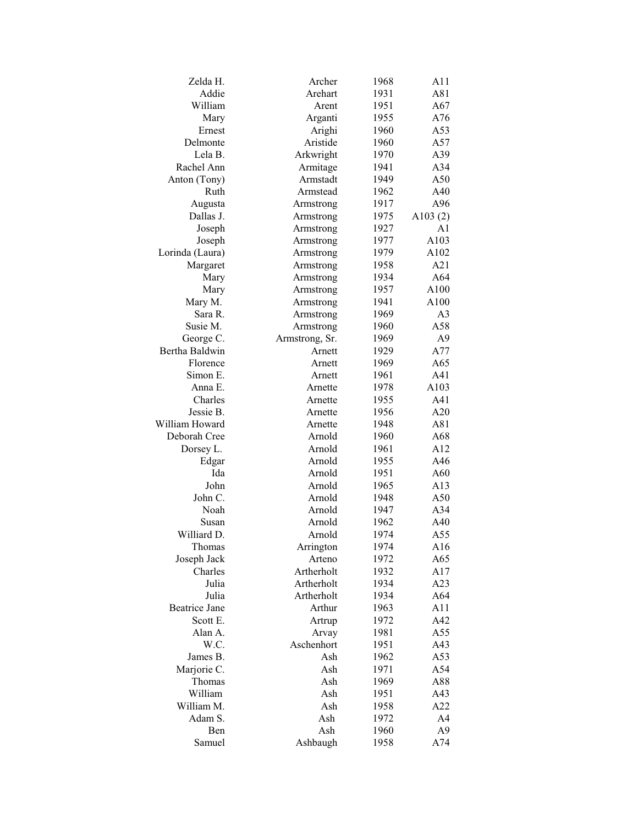| Zelda H.             | Archer         | 1968 | A11            |
|----------------------|----------------|------|----------------|
| Addie                | Arehart        | 1931 | A81            |
| William              | Arent          | 1951 | A67            |
| Mary                 | Arganti        | 1955 | A76            |
| Ernest               | Arighi         | 1960 | A53            |
| Delmonte             | Aristide       | 1960 | A57            |
| Lela B.              | Arkwright      | 1970 | A39            |
| Rachel Ann           | Armitage       | 1941 | A34            |
| Anton (Tony)         | Armstadt       | 1949 | A50            |
| Ruth                 | Armstead       | 1962 | A40            |
| Augusta              | Armstrong      | 1917 | A96            |
| Dallas J.            | Armstrong      | 1975 | A $103(2)$     |
| Joseph               | Armstrong      | 1927 | A1             |
| Joseph               | Armstrong      | 1977 | A103           |
| Lorinda (Laura)      | Armstrong      | 1979 | A102           |
| Margaret             | Armstrong      | 1958 | A21            |
| Mary                 | Armstrong      | 1934 | A64            |
| Mary                 | Armstrong      | 1957 | A100           |
| Mary M.              | Armstrong      | 1941 | A100           |
| Sara R.              | Armstrong      | 1969 | A <sub>3</sub> |
| Susie M.             | Armstrong      | 1960 | A58            |
| George C.            | Armstrong, Sr. | 1969 | A <sub>9</sub> |
| Bertha Baldwin       | Arnett         | 1929 | A77            |
| Florence             | Arnett         | 1969 | A65            |
|                      | Arnett         | 1961 |                |
| Simon E.             |                |      | A41            |
| Anna E.              | Arnette        | 1978 | A103           |
| Charles              | Arnette        | 1955 | A41            |
| Jessie B.            | Arnette        | 1956 | A20            |
| William Howard       | Arnette        | 1948 | A81            |
| Deborah Cree         | Arnold         | 1960 | A68            |
| Dorsey L.            | Arnold         | 1961 | A12            |
| Edgar                | Arnold         | 1955 | A46            |
| Ida                  | Arnold         | 1951 | A60            |
| John                 | Arnold         | 1965 | A13            |
| John C.              | Arnold         | 1948 | A50            |
| Noah                 | Arnold         | 1947 | A34            |
| Susan                | Arnold         | 1962 | A40            |
| Williard D.          | Arnold         | 1974 | A55            |
| Thomas               | Arrington      | 1974 | A16            |
| Joseph Jack          | Arteno         | 1972 | A65            |
| Charles              | Artherholt     | 1932 | A17            |
| Julia                | Artherholt     | 1934 | A23            |
| Julia                | Artherholt     | 1934 | A64            |
| <b>Beatrice Jane</b> | Arthur         | 1963 | A11            |
| Scott E.             | Artrup         | 1972 | A42            |
| Alan A.              | Arvay          | 1981 | A55            |
| W.C.                 | Aschenhort     | 1951 | A43            |
| James B.             | Ash            | 1962 | A53            |
| Marjorie C.          | Ash            | 1971 | A54            |
| Thomas               | Ash            | 1969 | A88            |
| William              | Ash            | 1951 | A43            |
| William M.           | Ash            | 1958 | A22            |
| Adam S.              | Ash            | 1972 | A4             |
| Ben                  | Ash            | 1960 | A <sub>9</sub> |
| Samuel               | Ashbaugh       | 1958 | A74            |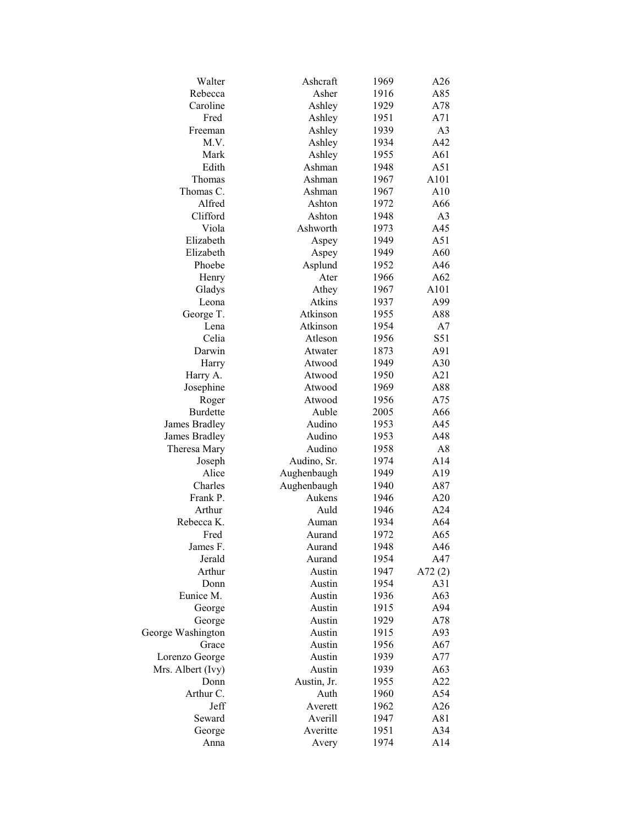| Walter            | Ashcraft    | 1969 | A26            |
|-------------------|-------------|------|----------------|
| Rebecca           | Asher       | 1916 | A85            |
| Caroline          | Ashley      | 1929 | A78            |
| Fred              | Ashley      | 1951 | A71            |
| Freeman           | Ashley      | 1939 | A <sub>3</sub> |
| M.V.              | Ashley      | 1934 | A42            |
| Mark              | Ashley      | 1955 | A61            |
| Edith             | Ashman      | 1948 | A51            |
| Thomas            | Ashman      | 1967 | A101           |
| Thomas C.         | Ashman      | 1967 | A10            |
| Alfred            | Ashton      | 1972 | A66            |
| Clifford          | Ashton      | 1948 | A <sub>3</sub> |
| Viola             | Ashworth    | 1973 | A45            |
| Elizabeth         | Aspey       | 1949 | A51            |
| Elizabeth         | Aspey       | 1949 | A60            |
| Phoebe            | Asplund     | 1952 | A46            |
| Henry             | Ater        | 1966 | A62            |
| Gladys            | Athey       | 1967 | A101           |
| Leona             | Atkins      | 1937 | A99            |
| George T.         | Atkinson    | 1955 | A88            |
| Lena              | Atkinson    | 1954 | A7             |
| Celia             | Atleson     | 1956 | S51            |
| Darwin            | Atwater     | 1873 | A91            |
|                   | Atwood      |      | A30            |
| Harry             |             | 1949 |                |
| Harry A.          | Atwood      | 1950 | A21            |
| Josephine         | Atwood      | 1969 | A88            |
| Roger             | Atwood      | 1956 | A75            |
| <b>Burdette</b>   | Auble       | 2005 | A66            |
| James Bradley     | Audino      | 1953 | A45            |
| James Bradley     | Audino      | 1953 | A48            |
| Theresa Mary      | Audino      | 1958 | A8             |
| Joseph            | Audino, Sr. | 1974 | A14            |
| Alice             | Aughenbaugh | 1949 | A19            |
| Charles           | Aughenbaugh | 1940 | A87            |
| Frank P.          | Aukens      | 1946 | A20            |
| Arthur            | Auld        | 1946 | A24            |
| Rebecca K.        | Auman       | 1934 | A64            |
| Fred              | Aurand      | 1972 | A65            |
| James F.          | Aurand      | 1948 | A46            |
| Jerald            | Aurand      | 1954 | A47            |
| Arthur            | Austin      | 1947 | A72 $(2)$      |
| Donn              | Austin      | 1954 | A31            |
| Eunice M.         | Austin      | 1936 | A63            |
| George            | Austin      | 1915 | A94            |
| George            | Austin      | 1929 | A78            |
| George Washington | Austin      | 1915 | A93            |
| Grace             | Austin      | 1956 | A67            |
| Lorenzo George    | Austin      | 1939 | A77            |
| Mrs. Albert (Ivy) | Austin      | 1939 | A63            |
| Donn              | Austin, Jr. | 1955 | A22            |
| Arthur C.         | Auth        | 1960 | A54            |
| Jeff              | Averett     | 1962 | A26            |
| Seward            | Averill     | 1947 | A81            |
| George            | Averitte    | 1951 | A34            |
| Anna              | Avery       | 1974 | A14            |